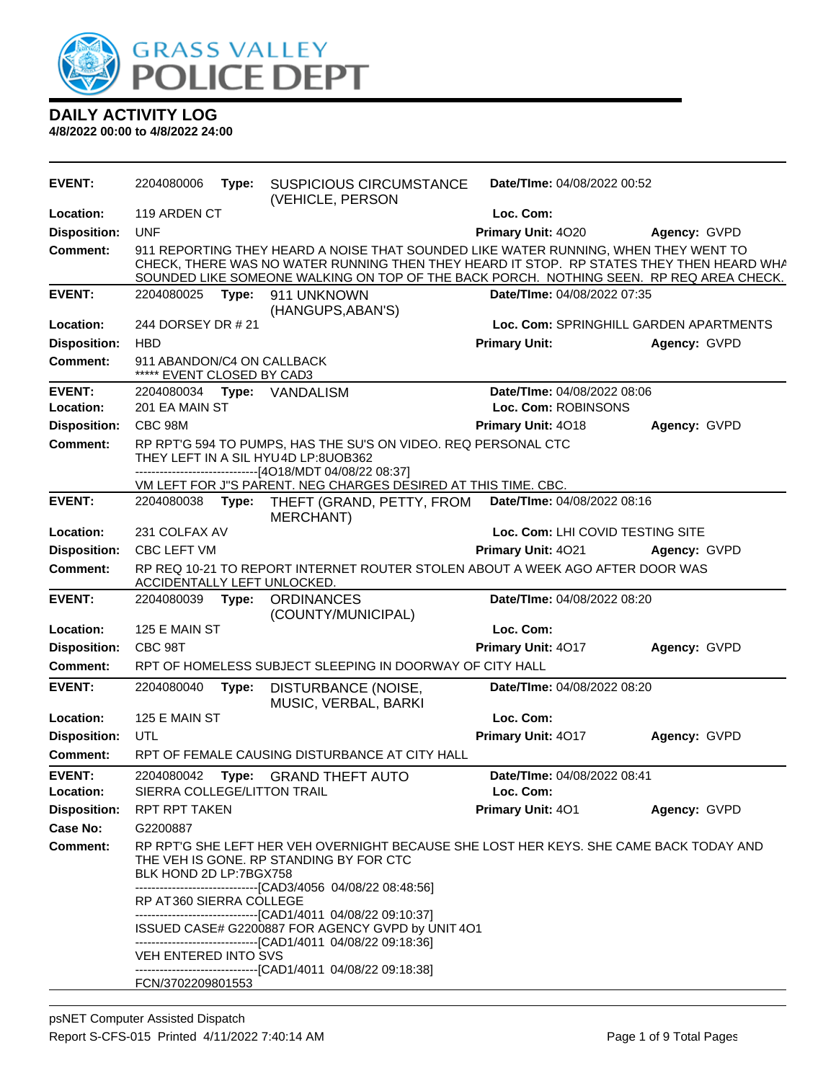

| <b>EVENT:</b>              | 2204080006                                               | Type: | <b>SUSPICIOUS CIRCUMSTANCE</b><br>(VEHICLE, PERSON                                                                                                                                                                                                                                                                                                                                      | Date/TIme: 04/08/2022 00:52              |              |
|----------------------------|----------------------------------------------------------|-------|-----------------------------------------------------------------------------------------------------------------------------------------------------------------------------------------------------------------------------------------------------------------------------------------------------------------------------------------------------------------------------------------|------------------------------------------|--------------|
| Location:                  | 119 ARDEN CT                                             |       |                                                                                                                                                                                                                                                                                                                                                                                         | Loc. Com:                                |              |
| <b>Disposition:</b>        | <b>UNF</b>                                               |       |                                                                                                                                                                                                                                                                                                                                                                                         | Primary Unit: 4020                       | Agency: GVPD |
| <b>Comment:</b>            |                                                          |       | 911 REPORTING THEY HEARD A NOISE THAT SOUNDED LIKE WATER RUNNING, WHEN THEY WENT TO<br>CHECK, THERE WAS NO WATER RUNNING THEN THEY HEARD IT STOP. RP STATES THEY THEN HEARD WHA<br>SOUNDED LIKE SOMEONE WALKING ON TOP OF THE BACK PORCH. NOTHING SEEN. RP REQ AREA CHECK.                                                                                                              |                                          |              |
| <b>EVENT:</b>              | 2204080025                                               | Type: | 911 UNKNOWN<br>(HANGUPS, ABAN'S)                                                                                                                                                                                                                                                                                                                                                        | Date/TIme: 04/08/2022 07:35              |              |
| Location:                  | 244 DORSEY DR # 21                                       |       |                                                                                                                                                                                                                                                                                                                                                                                         | Loc. Com: SPRINGHILL GARDEN APARTMENTS   |              |
| <b>Disposition:</b>        | <b>HBD</b>                                               |       |                                                                                                                                                                                                                                                                                                                                                                                         | <b>Primary Unit:</b>                     | Agency: GVPD |
| <b>Comment:</b>            | 911 ABANDON/C4 ON CALLBACK<br>***** EVENT CLOSED BY CAD3 |       |                                                                                                                                                                                                                                                                                                                                                                                         |                                          |              |
| <b>EVENT:</b>              | 2204080034 Type:                                         |       | VANDALISM                                                                                                                                                                                                                                                                                                                                                                               | Date/TIme: 04/08/2022 08:06              |              |
| Location:                  | 201 EA MAIN ST                                           |       |                                                                                                                                                                                                                                                                                                                                                                                         | Loc. Com: ROBINSONS                      |              |
| <b>Disposition:</b>        | CBC 98M                                                  |       |                                                                                                                                                                                                                                                                                                                                                                                         | Primary Unit: 4018                       | Agency: GVPD |
| <b>Comment:</b>            |                                                          |       | RP RPT'G 594 TO PUMPS, HAS THE SU'S ON VIDEO. REQ PERSONAL CTC<br>THEY LEFT IN A SIL HYU4D LP:8UOB362<br>------------------------------[4O18/MDT 04/08/22 08:37]                                                                                                                                                                                                                        |                                          |              |
|                            |                                                          |       | VM LEFT FOR J"S PARENT. NEG CHARGES DESIRED AT THIS TIME. CBC.                                                                                                                                                                                                                                                                                                                          |                                          |              |
| <b>EVENT:</b>              | 2204080038                                               | Type: | THEFT (GRAND, PETTY, FROM<br><b>MERCHANT)</b>                                                                                                                                                                                                                                                                                                                                           | Date/TIme: 04/08/2022 08:16              |              |
| Location:                  | 231 COLFAX AV                                            |       |                                                                                                                                                                                                                                                                                                                                                                                         | Loc. Com: LHI COVID TESTING SITE         |              |
| <b>Disposition:</b>        | <b>CBC LEFT VM</b>                                       |       |                                                                                                                                                                                                                                                                                                                                                                                         | Primary Unit: 4021                       | Agency: GVPD |
| <b>Comment:</b>            | ACCIDENTALLY LEFT UNLOCKED.                              |       | RP REQ 10-21 TO REPORT INTERNET ROUTER STOLEN ABOUT A WEEK AGO AFTER DOOR WAS                                                                                                                                                                                                                                                                                                           |                                          |              |
| <b>EVENT:</b>              | 2204080039                                               | Type: | <b>ORDINANCES</b><br>(COUNTY/MUNICIPAL)                                                                                                                                                                                                                                                                                                                                                 | Date/TIme: 04/08/2022 08:20              |              |
| Location:                  | 125 E MAIN ST                                            |       |                                                                                                                                                                                                                                                                                                                                                                                         | Loc. Com:                                |              |
| <b>Disposition:</b>        | CBC 98T                                                  |       |                                                                                                                                                                                                                                                                                                                                                                                         | Primary Unit: 4017                       | Agency: GVPD |
| <b>Comment:</b>            |                                                          |       | RPT OF HOMELESS SUBJECT SLEEPING IN DOORWAY OF CITY HALL                                                                                                                                                                                                                                                                                                                                |                                          |              |
| <b>EVENT:</b>              | 2204080040                                               | Type: | DISTURBANCE (NOISE,<br>MUSIC, VERBAL, BARKI                                                                                                                                                                                                                                                                                                                                             | Date/TIme: 04/08/2022 08:20              |              |
| Location:                  | 125 E MAIN ST                                            |       |                                                                                                                                                                                                                                                                                                                                                                                         | Loc. Com:                                |              |
| <b>Disposition:</b>        | UTL                                                      |       |                                                                                                                                                                                                                                                                                                                                                                                         | Primary Unit: 4017                       | Agency: GVPD |
| Comment:                   |                                                          |       | RPT OF FEMALE CAUSING DISTURBANCE AT CITY HALL                                                                                                                                                                                                                                                                                                                                          |                                          |              |
| <b>EVENT:</b><br>Location: | 2204080042<br>SIERRA COLLEGE/LITTON TRAIL                | Type: | <b>GRAND THEFT AUTO</b>                                                                                                                                                                                                                                                                                                                                                                 | Date/TIme: 04/08/2022 08:41<br>Loc. Com: |              |
| <b>Disposition:</b>        | <b>RPT RPT TAKEN</b>                                     |       |                                                                                                                                                                                                                                                                                                                                                                                         | Primary Unit: 401                        | Agency: GVPD |
| Case No:                   | G2200887                                                 |       |                                                                                                                                                                                                                                                                                                                                                                                         |                                          |              |
| Comment:                   | BLK HOND 2D LP:7BGX758<br>RP AT 360 SIERRA COLLEGE       |       | RP RPT'G SHE LEFT HER VEH OVERNIGHT BECAUSE SHE LOST HER KEYS. SHE CAME BACK TODAY AND<br>THE VEH IS GONE. RP STANDING BY FOR CTC<br>--------------------------------[CAD3/4056 04/08/22 08:48:56]<br>-------------------------------[CAD1/4011 04/08/22 09:10:37]<br>ISSUED CASE# G2200887 FOR AGENCY GVPD by UNIT 4O1<br>-------------------------------[CAD1/4011 04/08/22 09:18:36] |                                          |              |
|                            | VEH ENTERED INTO SVS<br>FCN/3702209801553                |       | --------------------------------[CAD1/4011 04/08/22 09:18:38]                                                                                                                                                                                                                                                                                                                           |                                          |              |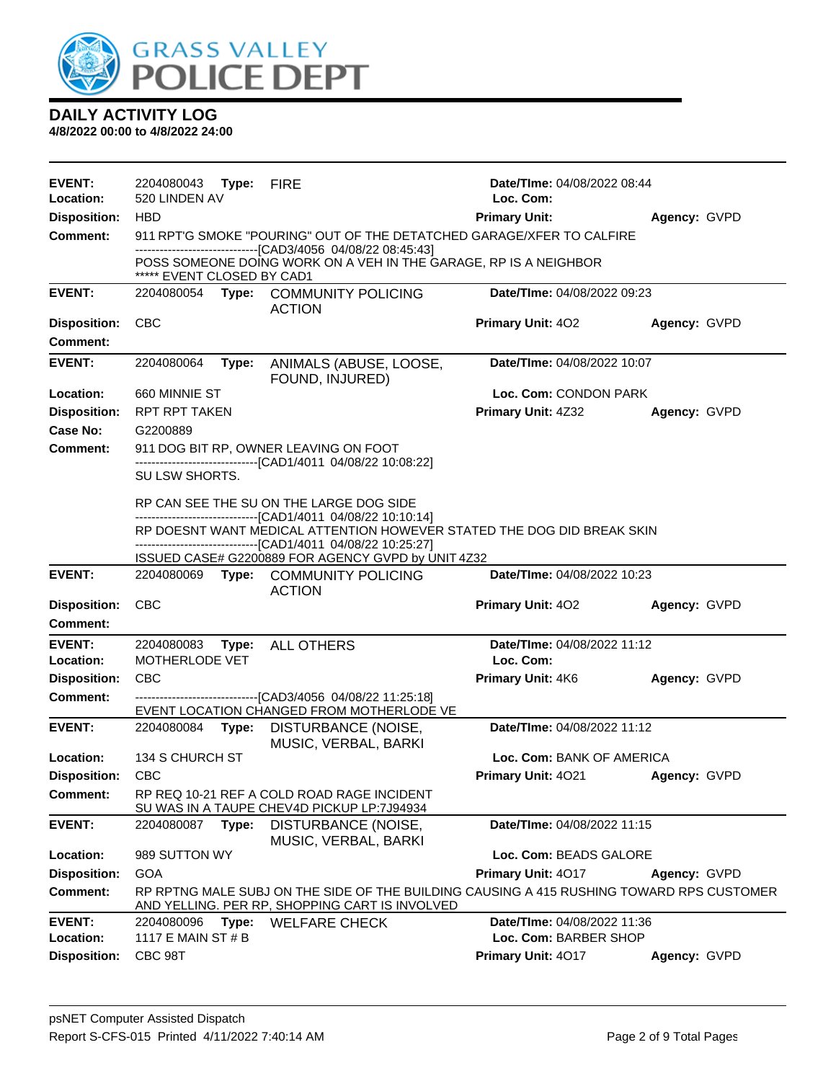

| EVENT:                           | 2204080043 Type: FIRE         |       |                                                                                                                                            | Date/TIme: 04/08/2022 08:44        |              |
|----------------------------------|-------------------------------|-------|--------------------------------------------------------------------------------------------------------------------------------------------|------------------------------------|--------------|
| Location:                        | 520 LINDEN AV                 |       |                                                                                                                                            | Loc. Com:                          |              |
| <b>Disposition:</b>              | <b>HBD</b>                    |       |                                                                                                                                            | <b>Primary Unit:</b>               | Agency: GVPD |
| <b>Comment:</b>                  |                               |       | 911 RPT'G SMOKE "POURING" OUT OF THE DETATCHED GARAGE/XFER TO CALFIRE<br>------------------------------[CAD3/4056 04/08/22 08:45:43]       |                                    |              |
|                                  | ***** EVENT CLOSED BY CAD1    |       | POSS SOMEONE DOING WORK ON A VEH IN THE GARAGE, RP IS A NEIGHBOR                                                                           |                                    |              |
| <b>EVENT:</b>                    |                               |       | 2204080054 Type: COMMUNITY POLICING<br><b>ACTION</b>                                                                                       | <b>Date/Time: 04/08/2022 09:23</b> |              |
| <b>Disposition:</b>              | <b>CBC</b>                    |       |                                                                                                                                            | <b>Primary Unit: 402</b>           | Agency: GVPD |
| <b>Comment:</b>                  |                               |       |                                                                                                                                            |                                    |              |
| <b>EVENT:</b>                    | 2204080064                    |       | Type: ANIMALS (ABUSE, LOOSE,<br>FOUND, INJURED)                                                                                            | <b>Date/Time: 04/08/2022 10:07</b> |              |
| Location:                        | 660 MINNIE ST                 |       |                                                                                                                                            | Loc. Com: CONDON PARK              |              |
| <b>Disposition:</b>              | <b>RPT RPT TAKEN</b>          |       |                                                                                                                                            | <b>Primary Unit: 4Z32</b>          | Agency: GVPD |
| Case No:                         | G2200889                      |       |                                                                                                                                            |                                    |              |
| <b>Comment:</b>                  |                               |       | 911 DOG BIT RP, OWNER LEAVING ON FOOT                                                                                                      |                                    |              |
|                                  | SU LSW SHORTS.                |       | -------------------------------[CAD1/4011 04/08/22 10:08:22]                                                                               |                                    |              |
|                                  |                               |       | RP CAN SEE THE SU ON THE LARGE DOG SIDE<br>-------------------------------[CAD1/4011 04/08/22 10:10:14]                                    |                                    |              |
|                                  |                               |       | RP DOESNT WANT MEDICAL ATTENTION HOWEVER STATED THE DOG DID BREAK SKIN<br>------------------------------[CAD1/4011 04/08/22 10:25:27]      |                                    |              |
|                                  |                               |       | ISSUED CASE# G2200889 FOR AGENCY GVPD by UNIT 4Z32                                                                                         |                                    |              |
|                                  |                               |       |                                                                                                                                            |                                    |              |
| <b>EVENT:</b>                    |                               |       | 2204080069 Type: COMMUNITY POLICING<br><b>ACTION</b>                                                                                       | Date/TIme: 04/08/2022 10:23        |              |
| <b>Disposition:</b>              | <b>CBC</b>                    |       |                                                                                                                                            | <b>Primary Unit: 402</b>           | Agency: GVPD |
| <b>Comment:</b>                  |                               |       |                                                                                                                                            |                                    |              |
| <b>EVENT:</b>                    | 2204080083                    |       | Type: ALL OTHERS                                                                                                                           | Date/TIme: 04/08/2022 11:12        |              |
| Location:                        | MOTHERLODE VET                |       |                                                                                                                                            | Loc. Com:                          |              |
| <b>Disposition:</b>              | <b>CBC</b>                    |       |                                                                                                                                            | <b>Primary Unit: 4K6</b>           | Agency: GVPD |
| Comment:                         |                               |       | ---------------------------------[CAD3/4056 04/08/22 11:25:18]                                                                             |                                    |              |
|                                  |                               |       | EVENT LOCATION CHANGED FROM MOTHERLODE VE                                                                                                  |                                    |              |
| <b>EVENT:</b>                    | 2204080084                    | Type: | DISTURBANCE (NOISE,                                                                                                                        | Date/TIme: 04/08/2022 11:12        |              |
| Location:                        | 134 S CHURCH ST               |       | MUSIC, VERBAL, BARKI                                                                                                                       | Loc. Com: BANK OF AMERICA          |              |
| Disposition: CBC                 |                               |       |                                                                                                                                            | <b>Primary Unit: 4021</b>          | Agency: GVPD |
| Comment:                         |                               |       | RP REQ 10-21 REF A COLD ROAD RAGE INCIDENT<br>SU WAS IN A TAUPE CHEV4D PICKUP LP:7J94934                                                   |                                    |              |
| <b>EVENT:</b>                    | 2204080087 Type:              |       | DISTURBANCE (NOISE,                                                                                                                        | Date/TIme: 04/08/2022 11:15        |              |
| Location:                        | 989 SUTTON WY                 |       | MUSIC, VERBAL, BARKI                                                                                                                       | Loc. Com: BEADS GALORE             |              |
| <b>Disposition:</b>              | <b>GOA</b>                    |       |                                                                                                                                            | Primary Unit: 4017                 | Agency: GVPD |
| <b>Comment:</b>                  |                               |       | RP RPTNG MALE SUBJ ON THE SIDE OF THE BUILDING CAUSING A 415 RUSHING TOWARD RPS CUSTOMER<br>AND YELLING. PER RP, SHOPPING CART IS INVOLVED |                                    |              |
| <b>EVENT:</b>                    | 2204080096                    | Type: | <b>WELFARE CHECK</b>                                                                                                                       | Date/TIme: 04/08/2022 11:36        |              |
| Location:<br><b>Disposition:</b> | 1117 E MAIN ST # B<br>CBC 98T |       |                                                                                                                                            | Loc. Com: BARBER SHOP              |              |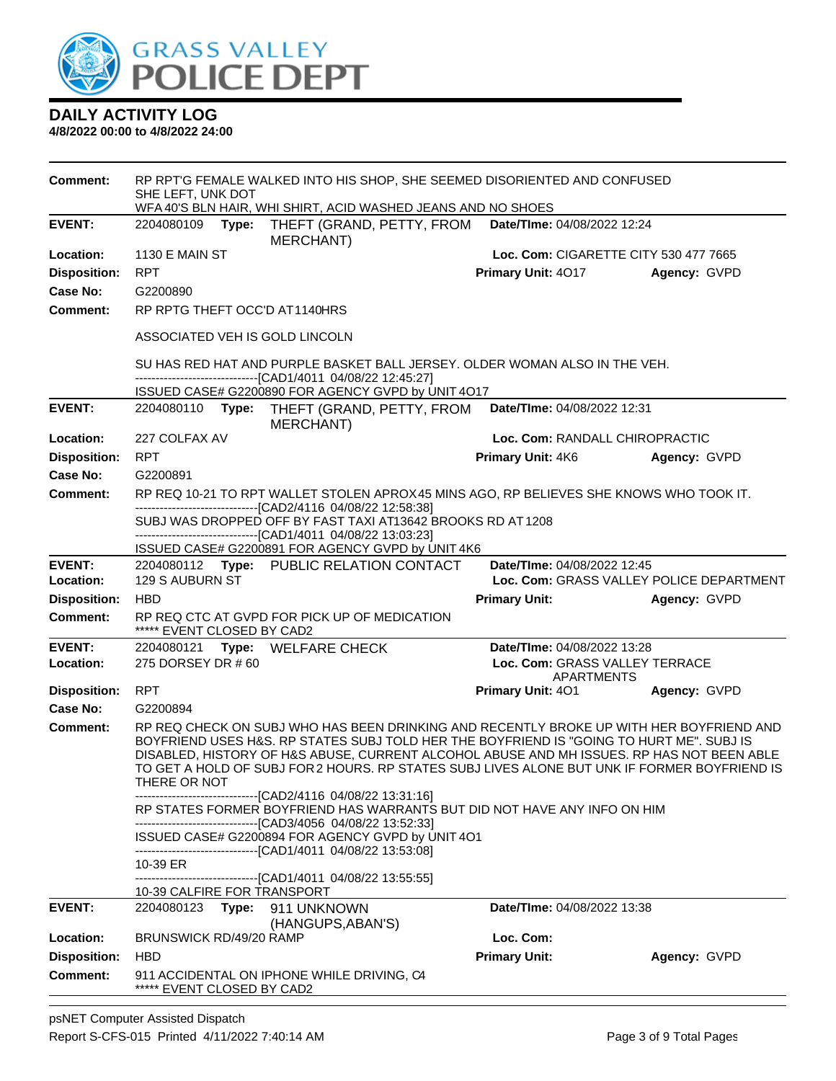

| Comment:            | SHE LEFT, UNK DOT              | RP RPT'G FEMALE WALKED INTO HIS SHOP, SHE SEEMED DISORIENTED AND CONFUSED<br>WFA 40'S BLN HAIR, WHI SHIRT, ACID WASHED JEANS AND NO SHOES                                                                                                                                                                                                                                                                                                        |                                              |              |
|---------------------|--------------------------------|--------------------------------------------------------------------------------------------------------------------------------------------------------------------------------------------------------------------------------------------------------------------------------------------------------------------------------------------------------------------------------------------------------------------------------------------------|----------------------------------------------|--------------|
| <b>EVENT:</b>       | 2204080109<br>Type:            | THEFT (GRAND, PETTY, FROM<br><b>MERCHANT)</b>                                                                                                                                                                                                                                                                                                                                                                                                    | Date/TIme: 04/08/2022 12:24                  |              |
| Location:           | <b>1130 E MAIN ST</b>          |                                                                                                                                                                                                                                                                                                                                                                                                                                                  | Loc. Com: CIGARETTE CITY 530 477 7665        |              |
| <b>Disposition:</b> | <b>RPT</b>                     |                                                                                                                                                                                                                                                                                                                                                                                                                                                  | Primary Unit: 4017                           | Agency: GVPD |
| Case No:            | G2200890                       |                                                                                                                                                                                                                                                                                                                                                                                                                                                  |                                              |              |
| Comment:            | RP RPTG THEFT OCC'D AT1140HRS  |                                                                                                                                                                                                                                                                                                                                                                                                                                                  |                                              |              |
|                     | ASSOCIATED VEH IS GOLD LINCOLN |                                                                                                                                                                                                                                                                                                                                                                                                                                                  |                                              |              |
|                     |                                | SU HAS RED HAT AND PURPLE BASKET BALL JERSEY. OLDER WOMAN ALSO IN THE VEH.<br>-----------------------[CAD1/4011 04/08/22 12:45:27]                                                                                                                                                                                                                                                                                                               |                                              |              |
|                     |                                | ISSUED CASE# G2200890 FOR AGENCY GVPD by UNIT 4O17                                                                                                                                                                                                                                                                                                                                                                                               |                                              |              |
| <b>EVENT:</b>       | 2204080110<br>Type:            | THEFT (GRAND, PETTY, FROM<br>MERCHANT)                                                                                                                                                                                                                                                                                                                                                                                                           | Date/TIme: 04/08/2022 12:31                  |              |
| Location:           | 227 COLFAX AV                  |                                                                                                                                                                                                                                                                                                                                                                                                                                                  | Loc. Com: RANDALL CHIROPRACTIC               |              |
| <b>Disposition:</b> | <b>RPT</b>                     |                                                                                                                                                                                                                                                                                                                                                                                                                                                  | Primary Unit: 4K6                            | Agency: GVPD |
| Case No:            | G2200891                       |                                                                                                                                                                                                                                                                                                                                                                                                                                                  |                                              |              |
| Comment:            |                                | RP REQ 10-21 TO RPT WALLET STOLEN APROX45 MINS AGO, RP BELIEVES SHE KNOWS WHO TOOK IT.<br>-------------------------------[CAD2/4116 04/08/22 12:58:38]<br>SUBJ WAS DROPPED OFF BY FAST TAXI AT13642 BROOKS RD AT 1208                                                                                                                                                                                                                            |                                              |              |
|                     |                                | -------------------------------[CAD1/4011 04/08/22 13:03:23]<br>ISSUED CASE# G2200891 FOR AGENCY GVPD by UNIT 4K6                                                                                                                                                                                                                                                                                                                                |                                              |              |
| <b>EVENT:</b>       |                                | 2204080112 Type: PUBLIC RELATION CONTACT                                                                                                                                                                                                                                                                                                                                                                                                         | Date/TIme: 04/08/2022 12:45                  |              |
| Location:           | 129 S AUBURN ST                |                                                                                                                                                                                                                                                                                                                                                                                                                                                  | Loc. Com: GRASS VALLEY POLICE DEPARTMENT     |              |
| <b>Disposition:</b> | <b>HBD</b>                     |                                                                                                                                                                                                                                                                                                                                                                                                                                                  | <b>Primary Unit:</b>                         | Agency: GVPD |
| <b>Comment:</b>     | ***** EVENT CLOSED BY CAD2     | RP REQ CTC AT GVPD FOR PICK UP OF MEDICATION                                                                                                                                                                                                                                                                                                                                                                                                     |                                              |              |
| <b>EVENT:</b>       | 2204080121                     | Type: WELFARE CHECK                                                                                                                                                                                                                                                                                                                                                                                                                              | Date/TIme: 04/08/2022 13:28                  |              |
| Location:           | 275 DORSEY DR # 60             |                                                                                                                                                                                                                                                                                                                                                                                                                                                  | Loc. Com: GRASS VALLEY TERRACE<br>APARTMENTS |              |
| <b>Disposition:</b> | <b>RPT</b>                     |                                                                                                                                                                                                                                                                                                                                                                                                                                                  | <b>Primary Unit: 401</b>                     | Agency: GVPD |
| Case No:            | G2200894                       |                                                                                                                                                                                                                                                                                                                                                                                                                                                  |                                              |              |
| Comment:            | THERE OR NOT                   | RP REQ CHECK ON SUBJ WHO HAS BEEN DRINKING AND RECENTLY BROKE UP WITH HER BOYFRIEND AND<br>BOYFRIEND USES H&S. RP STATES SUBJ TOLD HER THE BOYFRIEND IS "GOING TO HURT ME". SUBJ IS<br>DISABLED, HISTORY OF H&S ABUSE, CURRENT ALCOHOL ABUSE AND MH ISSUES. RP HAS NOT BEEN ABLE<br>TO GET A HOLD OF SUBJ FOR 2 HOURS. RP STATES SUBJ LIVES ALONE BUT UNK IF FORMER BOYFRIEND IS<br>-------------------------------[CAD2/4116 04/08/22 13:31:16] |                                              |              |
|                     |                                | RP STATES FORMER BOYFRIEND HAS WARRANTS BUT DID NOT HAVE ANY INFO ON HIM                                                                                                                                                                                                                                                                                                                                                                         |                                              |              |
|                     |                                | --------------------------------[CAD3/4056 04/08/22 13:52:33]<br>ISSUED CASE# G2200894 FOR AGENCY GVPD by UNIT 4O1                                                                                                                                                                                                                                                                                                                               |                                              |              |
|                     | 10-39 ER                       | ------------------------------[CAD1/4011 04/08/22 13:53:08]                                                                                                                                                                                                                                                                                                                                                                                      |                                              |              |
|                     | 10-39 CALFIRE FOR TRANSPORT    | -------------------------------[CAD1/4011_04/08/22_13:55:55]                                                                                                                                                                                                                                                                                                                                                                                     |                                              |              |
| <b>EVENT:</b>       | 2204080123 Type:               | 911 UNKNOWN<br>(HANGUPS, ABAN'S)                                                                                                                                                                                                                                                                                                                                                                                                                 | Date/TIme: 04/08/2022 13:38                  |              |
| Location:           | BRUNSWICK RD/49/20 RAMP        |                                                                                                                                                                                                                                                                                                                                                                                                                                                  | Loc. Com:                                    |              |
| <b>Disposition:</b> | <b>HBD</b>                     |                                                                                                                                                                                                                                                                                                                                                                                                                                                  | <b>Primary Unit:</b>                         | Agency: GVPD |
| <b>Comment:</b>     | ***** EVENT CLOSED BY CAD2     | 911 ACCIDENTAL ON IPHONE WHILE DRIVING, C4                                                                                                                                                                                                                                                                                                                                                                                                       |                                              |              |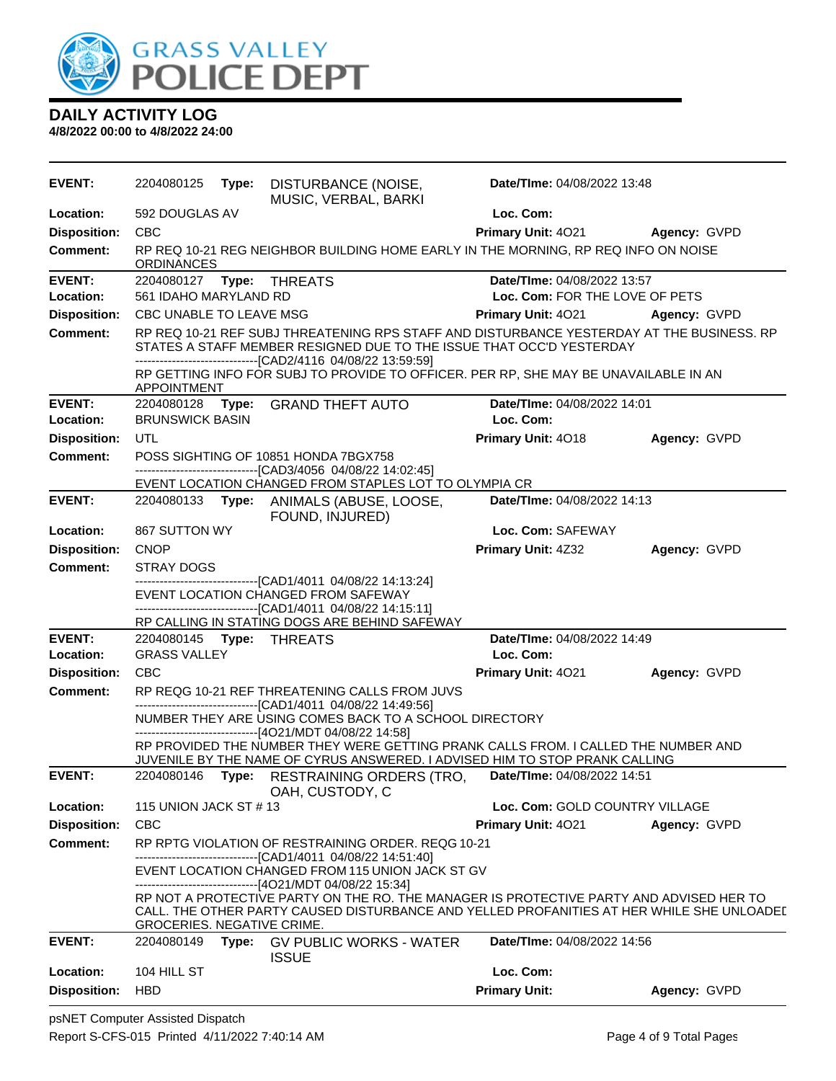

**DAILY ACTIVITY LOG 4/8/2022 00:00 to 4/8/2022 24:00**

| <b>EVENT:</b>       | 2204080125                  |       | Type: DISTURBANCE (NOISE,<br>MUSIC, VERBAL, BARKI                                                                                                                                                                                  | Date/TIme: 04/08/2022 13:48     |                     |
|---------------------|-----------------------------|-------|------------------------------------------------------------------------------------------------------------------------------------------------------------------------------------------------------------------------------------|---------------------------------|---------------------|
| Location:           | 592 DOUGLAS AV              |       |                                                                                                                                                                                                                                    | Loc. Com:                       |                     |
| <b>Disposition:</b> | <b>CBC</b>                  |       |                                                                                                                                                                                                                                    | <b>Primary Unit: 4021</b>       | <b>Agency: GVPD</b> |
| Comment:            | ORDINANCES                  |       | RP REQ 10-21 REG NEIGHBOR BUILDING HOME EARLY IN THE MORNING, RP REQ INFO ON NOISE                                                                                                                                                 |                                 |                     |
| <b>EVENT:</b>       |                             |       |                                                                                                                                                                                                                                    | Date/TIme: 04/08/2022 13:57     |                     |
| <b>Location:</b>    | 561 IDAHO MARYLAND RD       |       |                                                                                                                                                                                                                                    | Loc. Com: FOR THE LOVE OF PETS  |                     |
| <b>Disposition:</b> | CBC UNABLE TO LEAVE MSG     |       |                                                                                                                                                                                                                                    | Primary Unit: 4021 Agency: GVPD |                     |
| <b>Comment:</b>     |                             |       | RP REQ 10-21 REF SUBJ THREATENING RPS STAFF AND DISTURBANCE YESTERDAY AT THE BUSINESS. RP<br>STATES A STAFF MEMBER RESIGNED DUE TO THE ISSUE THAT OCC'D YESTERDAY<br>--------------------------------[CAD2/4116 04/08/22 13:59:59] |                                 |                     |
|                     | <b>APPOINTMENT</b>          |       | RP GETTING INFO FOR SUBJ TO PROVIDE TO OFFICER. PER RP, SHE MAY BE UNAVAILABLE IN AN                                                                                                                                               |                                 |                     |
| <b>EVENT:</b>       | 2204080128 Type:            |       | <b>GRAND THEFT AUTO</b>                                                                                                                                                                                                            | Date/TIme: 04/08/2022 14:01     |                     |
| Location:           | <b>BRUNSWICK BASIN</b>      |       |                                                                                                                                                                                                                                    | Loc. Com:                       |                     |
| <b>Disposition:</b> | UTL                         |       |                                                                                                                                                                                                                                    | Primary Unit: 4018              | Agency: GVPD        |
| <b>Comment:</b>     |                             |       | POSS SIGHTING OF 10851 HONDA 7BGX758<br>------------------------------[CAD3/4056_04/08/22 14:02:45]                                                                                                                                |                                 |                     |
|                     |                             |       | EVENT LOCATION CHANGED FROM STAPLES LOT TO OLYMPIA CR                                                                                                                                                                              |                                 |                     |
| <b>EVENT:</b>       |                             |       | 2204080133 Type: ANIMALS (ABUSE, LOOSE,<br>FOUND, INJURED)                                                                                                                                                                         | Date/TIme: 04/08/2022 14:13     |                     |
| Location:           | 867 SUTTON WY               |       |                                                                                                                                                                                                                                    | Loc. Com: SAFEWAY               |                     |
| <b>Disposition:</b> | <b>CNOP</b>                 |       |                                                                                                                                                                                                                                    | <b>Primary Unit: 4Z32</b>       | Agency: GVPD        |
| <b>Comment:</b>     | <b>STRAY DOGS</b>           |       |                                                                                                                                                                                                                                    |                                 |                     |
|                     |                             |       | ---------------------------[CAD1/4011 04/08/22 14:13:24]<br>EVENT LOCATION CHANGED FROM SAFEWAY<br>-------------------------------[CAD1/4011 04/08/22 14:15:11]<br>RP CALLING IN STATING DOGS ARE BEHIND SAFEWAY                   |                                 |                     |
| <b>EVENT:</b>       | 2204080145    Type: THREATS |       |                                                                                                                                                                                                                                    | Date/TIme: 04/08/2022 14:49     |                     |
| Location:           | <b>GRASS VALLEY</b>         |       |                                                                                                                                                                                                                                    | Loc. Com:                       |                     |
| <b>Disposition:</b> | <b>CBC</b>                  |       |                                                                                                                                                                                                                                    | <b>Primary Unit: 4021</b>       | Agency: GVPD        |
| Comment:            |                             |       | RP REQG 10-21 REF THREATENING CALLS FROM JUVS                                                                                                                                                                                      |                                 |                     |
|                     |                             |       | --------------------------------[CAD1/4011 04/08/22 14:49:56]<br>NUMBER THEY ARE USING COMES BACK TO A SCHOOL DIRECTORY<br>-------------------------------[4O21/MDT 04/08/22 14:58]                                                |                                 |                     |
|                     |                             |       | RP PROVIDED THE NUMBER THEY WERE GETTING PRANK CALLS FROM. I CALLED THE NUMBER AND<br>JUVENILE BY THE NAME OF CYRUS ANSWERED. I ADVISED HIM TO STOP PRANK CALLING                                                                  |                                 |                     |
| <b>EVENT:</b>       | 2204080146 <b>Type:</b>     |       | RESTRAINING ORDERS (TRO,<br>OAH, CUSTODY, C                                                                                                                                                                                        | Date/TIme: 04/08/2022 14:51     |                     |
| Location:           | 115 UNION JACK ST #13       |       |                                                                                                                                                                                                                                    | Loc. Com: GOLD COUNTRY VILLAGE  |                     |
| <b>Disposition:</b> | <b>CBC</b>                  |       |                                                                                                                                                                                                                                    | Primary Unit: 4021              | Agency: GVPD        |
| <b>Comment:</b>     |                             |       | RP RPTG VIOLATION OF RESTRAINING ORDER. REQG 10-21                                                                                                                                                                                 |                                 |                     |
|                     |                             |       | -------------------------------[CAD1/4011 04/08/22 14:51:40]<br>EVENT LOCATION CHANGED FROM 115 UNION JACK ST GV<br>------------------------------[4O21/MDT 04/08/22 15:34]                                                        |                                 |                     |
|                     | GROCERIES. NEGATIVE CRIME.  |       | RP NOT A PROTECTIVE PARTY ON THE RO. THE MANAGER IS PROTECTIVE PARTY AND ADVISED HER TO<br>CALL. THE OTHER PARTY CAUSED DISTURBANCE AND YELLED PROFANITIES AT HER WHILE SHE UNLOADEI                                               |                                 |                     |
| <b>EVENT:</b>       | 2204080149                  | Type: | <b>GV PUBLIC WORKS - WATER</b><br><b>ISSUE</b>                                                                                                                                                                                     | Date/TIme: 04/08/2022 14:56     |                     |
| Location:           | 104 HILL ST                 |       |                                                                                                                                                                                                                                    | Loc. Com:                       |                     |
| <b>Disposition:</b> | <b>HBD</b>                  |       |                                                                                                                                                                                                                                    | <b>Primary Unit:</b>            | Agency: GVPD        |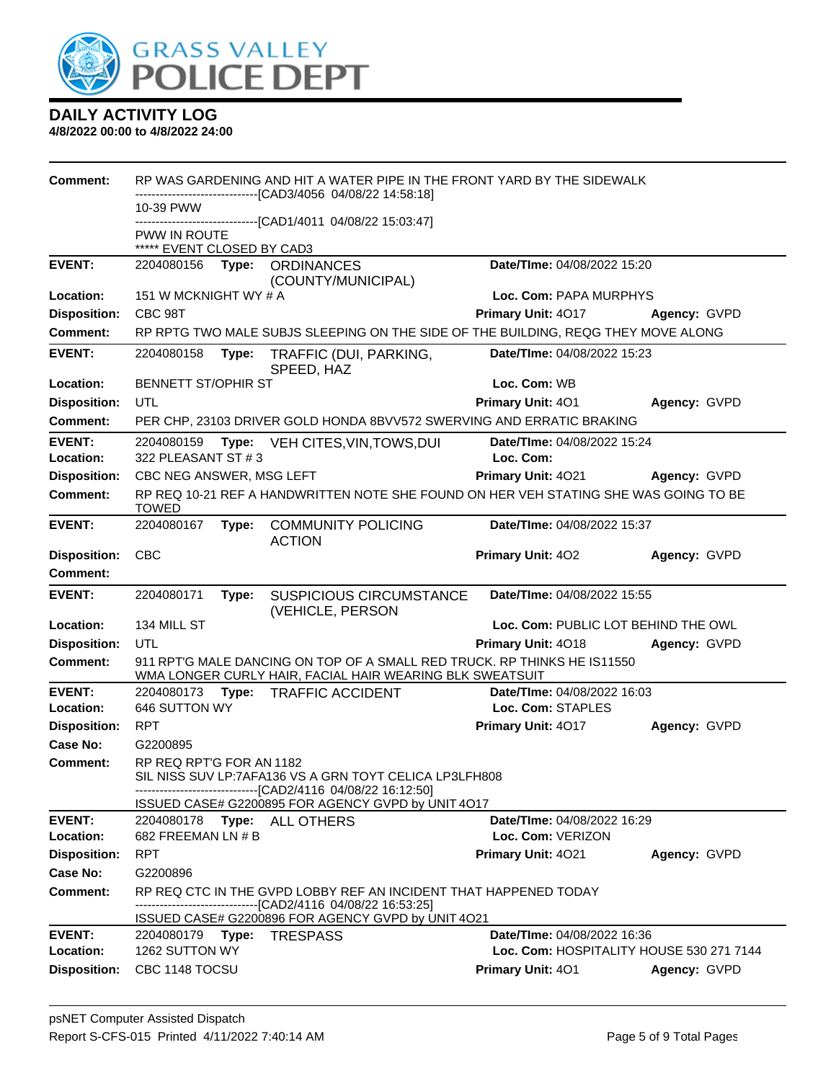

| <b>Comment:</b>            |                                  |       | RP WAS GARDENING AND HIT A WATER PIPE IN THE FRONT YARD BY THE SIDEWALK                                                              |                                          |              |
|----------------------------|----------------------------------|-------|--------------------------------------------------------------------------------------------------------------------------------------|------------------------------------------|--------------|
|                            | 10-39 PWW                        |       | ------------------[CAD3/4056_04/08/22 14:58:18]                                                                                      |                                          |              |
|                            | PWW IN ROUTE                     |       | ------------------------------[CAD1/4011_04/08/22_15:03:47]                                                                          |                                          |              |
|                            | ***** EVENT CLOSED BY CAD3       |       |                                                                                                                                      |                                          |              |
| <b>EVENT:</b>              | 2204080156                       | Type: | <b>ORDINANCES</b>                                                                                                                    | Date/TIme: 04/08/2022 15:20              |              |
|                            |                                  |       | (COUNTY/MUNICIPAL)                                                                                                                   |                                          |              |
| Location:                  | 151 W MCKNIGHT WY # A            |       |                                                                                                                                      | Loc. Com: PAPA MURPHYS                   |              |
| <b>Disposition:</b>        | CBC 98T                          |       |                                                                                                                                      | Primary Unit: 4017                       | Agency: GVPD |
| Comment:                   |                                  |       | RP RPTG TWO MALE SUBJS SLEEPING ON THE SIDE OF THE BUILDING, REQG THEY MOVE ALONG                                                    |                                          |              |
| <b>EVENT:</b>              | 2204080158                       | Type: | TRAFFIC (DUI, PARKING,<br>SPEED, HAZ                                                                                                 | Date/TIme: 04/08/2022 15:23              |              |
| Location:                  | <b>BENNETT ST/OPHIR ST</b>       |       |                                                                                                                                      | Loc. Com: WB                             |              |
| <b>Disposition:</b>        | <b>UTL</b>                       |       |                                                                                                                                      | Primary Unit: 401                        | Agency: GVPD |
| <b>Comment:</b>            |                                  |       | PER CHP, 23103 DRIVER GOLD HONDA 8BVV572 SWERVING AND ERRATIC BRAKING                                                                |                                          |              |
| <b>EVENT:</b><br>Location: | 2204080159<br>322 PLEASANT ST #3 |       | Type: VEH CITES, VIN, TOWS, DUI                                                                                                      | Date/TIme: 04/08/2022 15:24<br>Loc. Com: |              |
| <b>Disposition:</b>        | CBC NEG ANSWER, MSG LEFT         |       |                                                                                                                                      | Primary Unit: 4021                       | Agency: GVPD |
| <b>Comment:</b>            | <b>TOWED</b>                     |       | RP REQ 10-21 REF A HANDWRITTEN NOTE SHE FOUND ON HER VEH STATING SHE WAS GOING TO BE                                                 |                                          |              |
| <b>EVENT:</b>              | 2204080167                       | Type: | <b>COMMUNITY POLICING</b><br><b>ACTION</b>                                                                                           | Date/TIme: 04/08/2022 15:37              |              |
| <b>Disposition:</b>        | <b>CBC</b>                       |       |                                                                                                                                      | Primary Unit: 402                        | Agency: GVPD |
| Comment:                   |                                  |       |                                                                                                                                      |                                          |              |
| <b>EVENT:</b>              | 2204080171                       | Type: | <b>SUSPICIOUS CIRCUMSTANCE</b><br>(VEHICLE, PERSON                                                                                   | Date/TIme: 04/08/2022 15:55              |              |
| Location:                  | 134 MILL ST                      |       |                                                                                                                                      | Loc. Com: PUBLIC LOT BEHIND THE OWL      |              |
| <b>Disposition:</b>        | UTL                              |       |                                                                                                                                      | <b>Primary Unit: 4018</b>                | Agency: GVPD |
| <b>Comment:</b>            |                                  |       | 911 RPT'G MALE DANCING ON TOP OF A SMALL RED TRUCK. RP THINKS HE IS11550<br>WMA LONGER CURLY HAIR, FACIAL HAIR WEARING BLK SWEATSUIT |                                          |              |
| <b>EVENT:</b>              | 2204080173                       |       | Type: TRAFFIC ACCIDENT                                                                                                               | Date/TIme: 04/08/2022 16:03              |              |
| Location:                  | 646 SUTTON WY                    |       |                                                                                                                                      | Loc. Com: STAPLES                        |              |
| <b>Disposition:</b>        | <b>RPT</b>                       |       |                                                                                                                                      | Primary Unit: 4017                       | Agency: GVPD |
| Case No:                   | G2200895                         |       |                                                                                                                                      |                                          |              |
| Comment:                   | RP REQ RPT'G FOR AN 1182         |       | SIL NISS SUV LP:7AFA136 VS A GRN TOYT CELICA LP3LFH808<br>-------------------------------[CAD2/4116 04/08/22 16:12:50]               |                                          |              |
|                            |                                  |       | ISSUED CASE# G2200895 FOR AGENCY GVPD by UNIT 4O17                                                                                   |                                          |              |
| <b>EVENT:</b>              |                                  |       | 2204080178    Type: ALL OTHERS                                                                                                       | Date/TIme: 04/08/2022 16:29              |              |
| Location:                  | 682 FREEMAN LN # B               |       |                                                                                                                                      | Loc. Com: VERIZON                        |              |
| <b>Disposition:</b>        | <b>RPT</b>                       |       |                                                                                                                                      | Primary Unit: 4021                       | Agency: GVPD |
| Case No:                   | G2200896                         |       |                                                                                                                                      |                                          |              |
| <b>Comment:</b>            |                                  |       | RP REQ CTC IN THE GVPD LOBBY REF AN INCIDENT THAT HAPPENED TODAY                                                                     |                                          |              |
|                            |                                  |       | -------------------------------[CAD2/4116 04/08/22 16:53:25]<br>ISSUED CASE# G2200896 FOR AGENCY GVPD by UNIT 4O21                   |                                          |              |
| <b>EVENT:</b>              |                                  |       |                                                                                                                                      | Date/TIme: 04/08/2022 16:36              |              |
| Location:                  | 1262 SUTTON WY                   |       |                                                                                                                                      | Loc. Com: HOSPITALITY HOUSE 530 271 7144 |              |
| <b>Disposition:</b>        | CBC 1148 TOCSU                   |       |                                                                                                                                      | Primary Unit: 401                        | Agency: GVPD |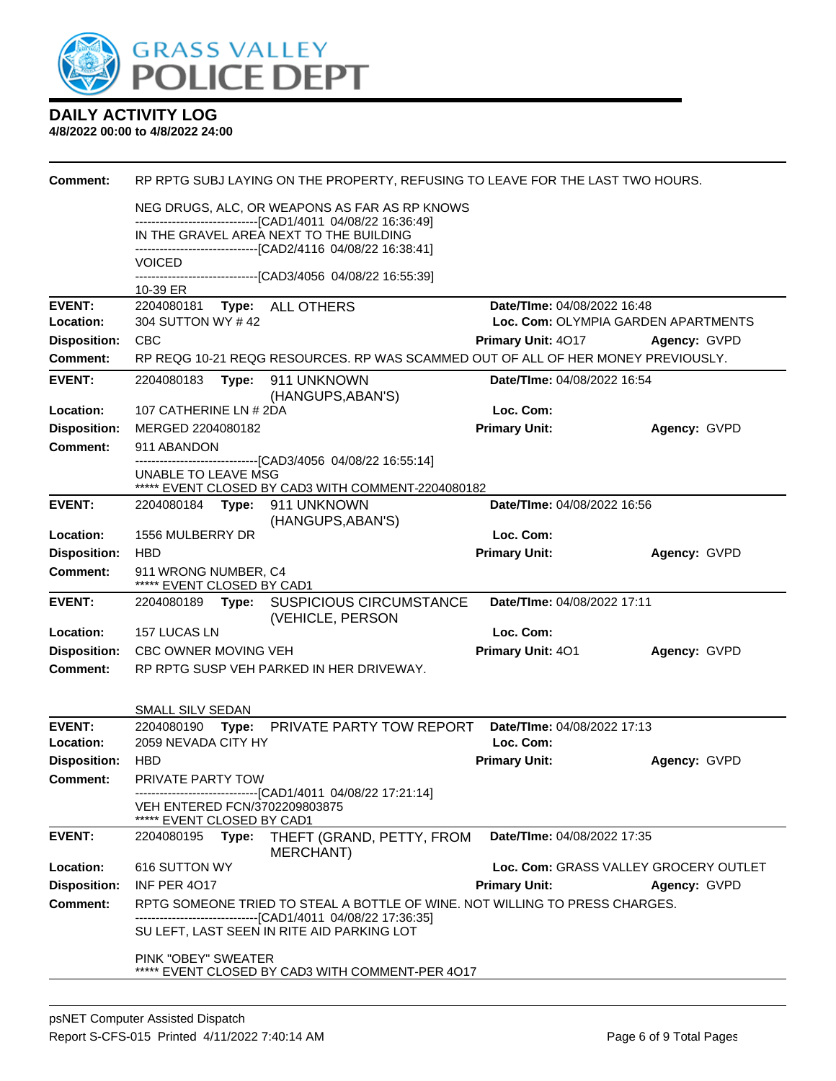

| <b>Comment:</b>            |                                                    |       | RP RPTG SUBJ LAYING ON THE PROPERTY, REFUSING TO LEAVE FOR THE LAST TWO HOURS.                                     |                                          |                                       |
|----------------------------|----------------------------------------------------|-------|--------------------------------------------------------------------------------------------------------------------|------------------------------------------|---------------------------------------|
|                            |                                                    |       | NEG DRUGS, ALC, OR WEAPONS AS FAR AS RP KNOWS                                                                      |                                          |                                       |
|                            |                                                    |       | -------------------------------[CAD1/4011_04/08/22 16:36:49]<br>IN THE GRAVEL AREA NEXT TO THE BUILDING            |                                          |                                       |
|                            | VOICED                                             |       | ------------------------[CAD2/4116 04/08/22 16:38:41]                                                              |                                          |                                       |
|                            |                                                    |       | -------------------------------[CAD3/4056 04/08/22 16:55:39]                                                       |                                          |                                       |
| <b>EVENT:</b>              | 10-39 ER<br>2204080181                             |       |                                                                                                                    | Date/TIme: 04/08/2022 16:48              |                                       |
| Location:                  | 304 SUTTON WY #42                                  |       | Type: ALL OTHERS                                                                                                   |                                          | Loc. Com: OLYMPIA GARDEN APARTMENTS   |
| <b>Disposition:</b>        | <b>CBC</b>                                         |       |                                                                                                                    | <b>Primary Unit: 4017</b>                | Agency: GVPD                          |
| Comment:                   |                                                    |       | RP REQG 10-21 REQG RESOURCES. RP WAS SCAMMED OUT OF ALL OF HER MONEY PREVIOUSLY.                                   |                                          |                                       |
| <b>EVENT:</b>              | 2204080183                                         | Type: | 911 UNKNOWN<br>(HANGUPS, ABAN'S)                                                                                   | Date/TIme: 04/08/2022 16:54              |                                       |
| Location:                  | 107 CATHERINE LN # 2DA                             |       |                                                                                                                    | Loc. Com:                                |                                       |
| <b>Disposition:</b>        | MERGED 2204080182                                  |       |                                                                                                                    | <b>Primary Unit:</b>                     | Agency: GVPD                          |
| <b>Comment:</b>            | 911 ABANDON                                        |       |                                                                                                                    |                                          |                                       |
|                            | UNABLE TO LEAVE MSG                                |       | -------------------------------[CAD3/4056 04/08/22 16:55:14]<br>***** EVENT CLOSED BY CAD3 WITH COMMENT-2204080182 |                                          |                                       |
| <b>EVENT:</b>              |                                                    |       | 2204080184 Type: 911 UNKNOWN<br>(HANGUPS, ABAN'S)                                                                  | Date/TIme: 04/08/2022 16:56              |                                       |
| Location:                  | 1556 MULBERRY DR                                   |       |                                                                                                                    | Loc. Com:                                |                                       |
| <b>Disposition:</b>        | <b>HBD</b>                                         |       |                                                                                                                    | <b>Primary Unit:</b>                     | Agency: GVPD                          |
| Comment:                   | 911 WRONG NUMBER, C4<br>***** EVENT CLOSED BY CAD1 |       |                                                                                                                    |                                          |                                       |
| <b>EVENT:</b>              | 2204080189 Type:                                   |       | <b>SUSPICIOUS CIRCUMSTANCE</b><br>(VEHICLE, PERSON                                                                 | Date/TIme: 04/08/2022 17:11              |                                       |
| Location:                  | 157 LUCAS LN                                       |       |                                                                                                                    | Loc. Com:                                |                                       |
| <b>Disposition:</b>        | CBC OWNER MOVING VEH                               |       |                                                                                                                    | Primary Unit: 401                        | Agency: GVPD                          |
| Comment:                   |                                                    |       | RP RPTG SUSP VEH PARKED IN HER DRIVEWAY.                                                                           |                                          |                                       |
|                            | SMALL SILV SEDAN                                   |       |                                                                                                                    |                                          |                                       |
| <b>EVENT:</b><br>Location: | 2059 NEVADA CITY HY                                |       | 2204080190 Type: PRIVATE PARTY TOW REPORT                                                                          | Date/TIme: 04/08/2022 17:13<br>Loc. Com: |                                       |
| <b>Disposition:</b>        | <b>HBD</b>                                         |       |                                                                                                                    | <b>Primary Unit:</b>                     | Agency: GVPD                          |
| Comment:                   | <b>PRIVATE PARTY TOW</b>                           |       | ------------------------------[CAD1/4011 04/08/22 17:21:14]                                                        |                                          |                                       |
|                            | ***** EVENT CLOSED BY CAD1                         |       | VEH ENTERED FCN/3702209803875                                                                                      |                                          |                                       |
| <b>EVENT:</b>              | 2204080195                                         | Type: | THEFT (GRAND, PETTY, FROM<br>MERCHANT)                                                                             | Date/TIme: 04/08/2022 17:35              |                                       |
| Location:                  | 616 SUTTON WY                                      |       |                                                                                                                    |                                          | Loc. Com: GRASS VALLEY GROCERY OUTLET |
| <b>Disposition:</b>        | <b>INF PER 4017</b>                                |       |                                                                                                                    | <b>Primary Unit:</b>                     | Agency: GVPD                          |
| <b>Comment:</b>            |                                                    |       | RPTG SOMEONE TRIED TO STEAL A BOTTLE OF WINE. NOT WILLING TO PRESS CHARGES.                                        |                                          |                                       |
|                            |                                                    |       | ------------------------------[CAD1/4011_04/08/22_17:36:35]<br>SU LEFT, LAST SEEN IN RITE AID PARKING LOT          |                                          |                                       |
|                            | PINK "OBEY" SWEATER                                |       | ***** EVENT CLOSED BY CAD3 WITH COMMENT-PER 4017                                                                   |                                          |                                       |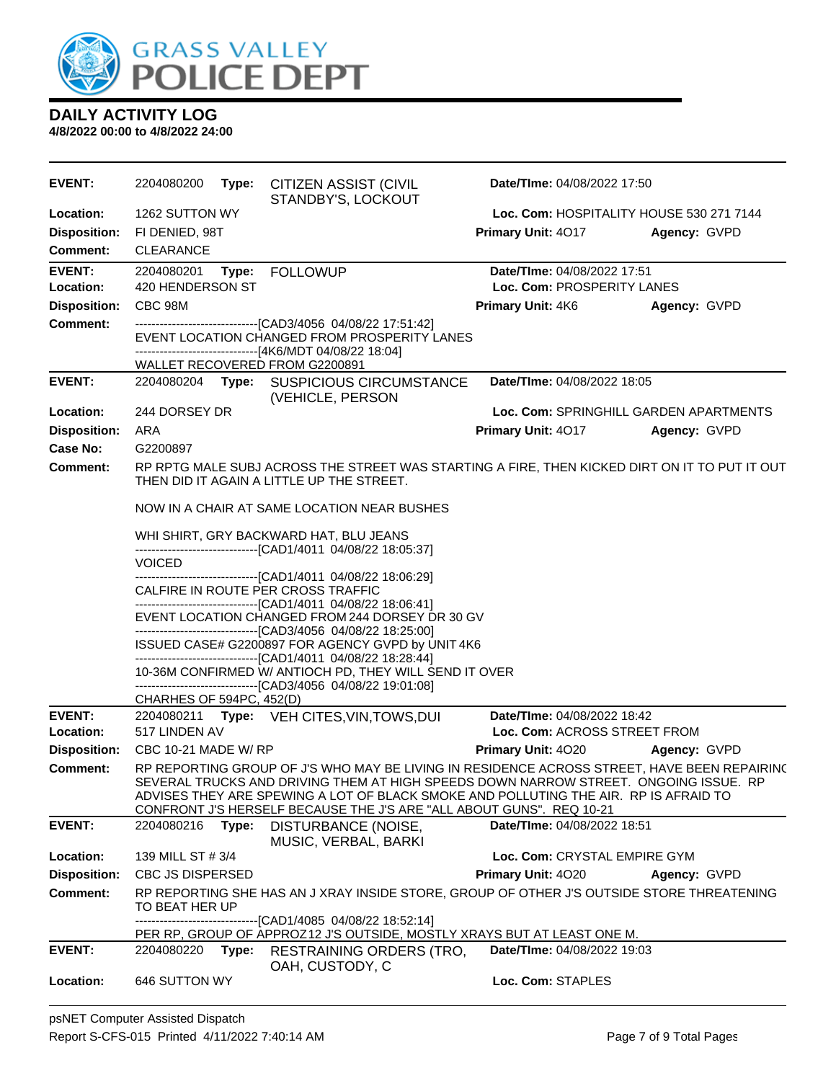

| <b>EVENT:</b>       | 2204080200<br>Type:            | CITIZEN ASSIST (CIVIL<br>STANDBY'S, LOCKOUT                                                                                                                                                                                                                                                                                                         | Date/TIme: 04/08/2022 17:50              |                     |
|---------------------|--------------------------------|-----------------------------------------------------------------------------------------------------------------------------------------------------------------------------------------------------------------------------------------------------------------------------------------------------------------------------------------------------|------------------------------------------|---------------------|
| Location:           | 1262 SUTTON WY                 |                                                                                                                                                                                                                                                                                                                                                     | Loc. Com: HOSPITALITY HOUSE 530 271 7144 |                     |
| <b>Disposition:</b> | FI DENIED, 98T                 |                                                                                                                                                                                                                                                                                                                                                     | Primary Unit: 4017                       | Agency: GVPD        |
| Comment:            | <b>CLEARANCE</b>               |                                                                                                                                                                                                                                                                                                                                                     |                                          |                     |
| <b>EVENT:</b>       | 2204080201<br>Type:            | <b>FOLLOWUP</b>                                                                                                                                                                                                                                                                                                                                     | Date/TIme: 04/08/2022 17:51              |                     |
| Location:           | 420 HENDERSON ST               |                                                                                                                                                                                                                                                                                                                                                     | Loc. Com: PROSPERITY LANES               |                     |
| <b>Disposition:</b> | CBC 98M                        |                                                                                                                                                                                                                                                                                                                                                     | <b>Primary Unit: 4K6</b>                 | <b>Agency: GVPD</b> |
| <b>Comment:</b>     |                                | -------------------------------[CAD3/4056_04/08/22 17:51:42]                                                                                                                                                                                                                                                                                        |                                          |                     |
|                     |                                | EVENT LOCATION CHANGED FROM PROSPERITY LANES                                                                                                                                                                                                                                                                                                        |                                          |                     |
|                     | WALLET RECOVERED FROM G2200891 | -------------------------------[4K6/MDT 04/08/22 18:04]                                                                                                                                                                                                                                                                                             |                                          |                     |
| <b>EVENT:</b>       |                                | 2204080204 Type: SUSPICIOUS CIRCUMSTANCE                                                                                                                                                                                                                                                                                                            | Date/TIme: 04/08/2022 18:05              |                     |
|                     |                                | (VEHICLE, PERSON                                                                                                                                                                                                                                                                                                                                    |                                          |                     |
| Location:           | 244 DORSEY DR                  |                                                                                                                                                                                                                                                                                                                                                     | Loc. Com: SPRINGHILL GARDEN APARTMENTS   |                     |
| <b>Disposition:</b> | ARA                            |                                                                                                                                                                                                                                                                                                                                                     | <b>Primary Unit: 4017</b>                | Agency: GVPD        |
| Case No:            | G2200897                       |                                                                                                                                                                                                                                                                                                                                                     |                                          |                     |
| Comment:            |                                | RP RPTG MALE SUBJ ACROSS THE STREET WAS STARTING A FIRE, THEN KICKED DIRT ON IT TO PUT IT OUT<br>THEN DID IT AGAIN A LITTLE UP THE STREET.                                                                                                                                                                                                          |                                          |                     |
|                     |                                | NOW IN A CHAIR AT SAME LOCATION NEAR BUSHES                                                                                                                                                                                                                                                                                                         |                                          |                     |
|                     |                                | WHI SHIRT, GRY BACKWARD HAT, BLU JEANS<br>-------------------------------[CAD1/4011 04/08/22 18:05:37]                                                                                                                                                                                                                                              |                                          |                     |
|                     | <b>VOICED</b>                  |                                                                                                                                                                                                                                                                                                                                                     |                                          |                     |
|                     |                                | -------------------------------[CAD1/4011 04/08/22 18:06:29]<br>CALFIRE IN ROUTE PER CROSS TRAFFIC                                                                                                                                                                                                                                                  |                                          |                     |
|                     |                                | --------------------------------[CAD1/4011 04/08/22 18:06:41]<br>EVENT LOCATION CHANGED FROM 244 DORSEY DR 30 GV                                                                                                                                                                                                                                    |                                          |                     |
|                     |                                | -------------------------------[CAD3/4056_04/08/22 18:25:00]                                                                                                                                                                                                                                                                                        |                                          |                     |
|                     |                                | ISSUED CASE# G2200897 FOR AGENCY GVPD by UNIT 4K6                                                                                                                                                                                                                                                                                                   |                                          |                     |
|                     |                                | -------------------------------[CAD1/4011 04/08/22 18:28:44]<br>10-36M CONFIRMED W/ ANTIOCH PD, THEY WILL SEND IT OVER                                                                                                                                                                                                                              |                                          |                     |
|                     |                                | ------------------------------[CAD3/4056 04/08/22 19:01:08]                                                                                                                                                                                                                                                                                         |                                          |                     |
|                     | CHARHES OF 594PC, 452(D)       |                                                                                                                                                                                                                                                                                                                                                     |                                          |                     |
| <b>EVENT:</b>       |                                | 2204080211 Type: VEH CITES, VIN, TOWS, DUI                                                                                                                                                                                                                                                                                                          | Date/TIme: 04/08/2022 18:42              |                     |
| Location:           | 517 LINDEN AV                  |                                                                                                                                                                                                                                                                                                                                                     | Loc. Com: ACROSS STREET FROM             |                     |
| <b>Disposition:</b> | CBC 10-21 MADE W/ RP           |                                                                                                                                                                                                                                                                                                                                                     | Primary Unit: 4020                       | <b>Agency: GVPD</b> |
| <b>Comment:</b>     |                                | RP REPORTING GROUP OF J'S WHO MAY BE LIVING IN RESIDENCE ACROSS STREET, HAVE BEEN REPAIRING<br>SEVERAL TRUCKS AND DRIVING THEM AT HIGH SPEEDS DOWN NARROW STREET. ONGOING ISSUE. RP<br>ADVISES THEY ARE SPEWING A LOT OF BLACK SMOKE AND POLLUTING THE AIR. RP IS AFRAID TO<br>CONFRONT J'S HERSELF BECAUSE THE J'S ARE "ALL ABOUT GUNS". REQ 10-21 |                                          |                     |
| <b>EVENT:</b>       | 2204080216<br>Type:            | DISTURBANCE (NOISE,<br>MUSIC, VERBAL, BARKI                                                                                                                                                                                                                                                                                                         | Date/TIme: 04/08/2022 18:51              |                     |
| Location:           | 139 MILL ST # 3/4              |                                                                                                                                                                                                                                                                                                                                                     | Loc. Com: CRYSTAL EMPIRE GYM             |                     |
| <b>Disposition:</b> | <b>CBC JS DISPERSED</b>        |                                                                                                                                                                                                                                                                                                                                                     | <b>Primary Unit: 4020</b>                | Agency: GVPD        |
| <b>Comment:</b>     | TO BEAT HER UP                 | RP REPORTING SHE HAS AN J XRAY INSIDE STORE, GROUP OF OTHER J'S OUTSIDE STORE THREATENING                                                                                                                                                                                                                                                           |                                          |                     |
|                     |                                | -------------------------------[CAD1/4085 04/08/22 18:52:14]                                                                                                                                                                                                                                                                                        |                                          |                     |
| <b>EVENT:</b>       | 2204080220<br>Type:            | PER RP, GROUP OF APPROZ12 J'S OUTSIDE, MOSTLY XRAYS BUT AT LEAST ONE M.<br><b>RESTRAINING ORDERS (TRO,</b>                                                                                                                                                                                                                                          | Date/TIme: 04/08/2022 19:03              |                     |
|                     |                                | OAH, CUSTODY, C                                                                                                                                                                                                                                                                                                                                     |                                          |                     |
| Location:           | 646 SUTTON WY                  |                                                                                                                                                                                                                                                                                                                                                     | Loc. Com: STAPLES                        |                     |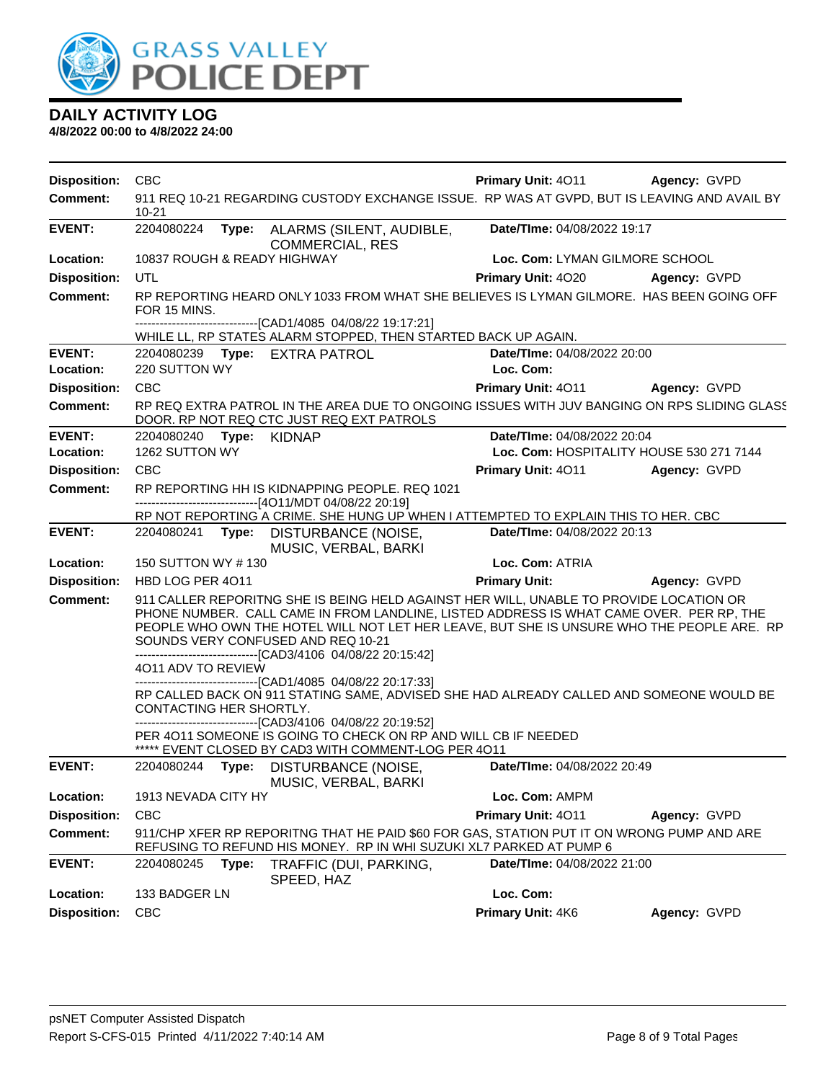

| <b>Disposition:</b> | <b>CBC</b>                  |       |                                                                                                                                                                                                                                                                                         | <b>Primary Unit: 4011</b>   | <b>Agency: GVPD</b>                                                                         |
|---------------------|-----------------------------|-------|-----------------------------------------------------------------------------------------------------------------------------------------------------------------------------------------------------------------------------------------------------------------------------------------|-----------------------------|---------------------------------------------------------------------------------------------|
| <b>Comment:</b>     | 10-21                       |       |                                                                                                                                                                                                                                                                                         |                             | 911 REQ 10-21 REGARDING CUSTODY EXCHANGE ISSUE. RP WAS AT GVPD, BUT IS LEAVING AND AVAIL BY |
| <b>EVENT:</b>       | 2204080224                  |       | Type: ALARMS (SILENT, AUDIBLE,<br><b>COMMERCIAL, RES</b>                                                                                                                                                                                                                                | Date/TIme: 04/08/2022 19:17 |                                                                                             |
| Location:           | 10837 ROUGH & READY HIGHWAY |       |                                                                                                                                                                                                                                                                                         |                             | Loc. Com: LYMAN GILMORE SCHOOL                                                              |
| <b>Disposition:</b> | UTL                         |       |                                                                                                                                                                                                                                                                                         | Primary Unit: 4020          | <b>Agency: GVPD</b>                                                                         |
| <b>Comment:</b>     | FOR 15 MINS.                |       |                                                                                                                                                                                                                                                                                         |                             | RP REPORTING HEARD ONLY 1033 FROM WHAT SHE BELIEVES IS LYMAN GILMORE. HAS BEEN GOING OFF    |
|                     |                             |       | -------------------------------[CAD1/4085 04/08/22 19:17:21]<br>WHILE LL, RP STATES ALARM STOPPED, THEN STARTED BACK UP AGAIN.                                                                                                                                                          |                             |                                                                                             |
| <b>EVENT:</b>       |                             |       | 2204080239 Type: EXTRA PATROL                                                                                                                                                                                                                                                           | Date/TIme: 04/08/2022 20:00 |                                                                                             |
| Location:           | 220 SUTTON WY               |       |                                                                                                                                                                                                                                                                                         | Loc. Com:                   |                                                                                             |
| <b>Disposition:</b> | <b>CBC</b>                  |       |                                                                                                                                                                                                                                                                                         | <b>Primary Unit: 4011</b>   | <b>Agency: GVPD</b>                                                                         |
| <b>Comment:</b>     |                             |       | DOOR. RP NOT REQ CTC JUST REQ EXT PATROLS                                                                                                                                                                                                                                               |                             | RP REQ EXTRA PATROL IN THE AREA DUE TO ONGOING ISSUES WITH JUV BANGING ON RPS SLIDING GLASS |
| <b>EVENT:</b>       | 2204080240 Type:            |       | <b>KIDNAP</b>                                                                                                                                                                                                                                                                           | Date/TIme: 04/08/2022 20:04 |                                                                                             |
| Location:           | 1262 SUTTON WY              |       |                                                                                                                                                                                                                                                                                         |                             | Loc. Com: HOSPITALITY HOUSE 530 271 7144                                                    |
| <b>Disposition:</b> | <b>CBC</b>                  |       |                                                                                                                                                                                                                                                                                         | Primary Unit: 4011          | Agency: GVPD                                                                                |
| <b>Comment:</b>     |                             |       | RP REPORTING HH IS KIDNAPPING PEOPLE. REQ 1021<br>------------------------[4O11/MDT 04/08/22 20:19]                                                                                                                                                                                     |                             |                                                                                             |
|                     |                             |       | RP NOT REPORTING A CRIME. SHE HUNG UP WHEN I ATTEMPTED TO EXPLAIN THIS TO HER. CBC                                                                                                                                                                                                      |                             |                                                                                             |
| <b>EVENT:</b>       |                             |       | 2204080241 Type: DISTURBANCE (NOISE,<br>MUSIC, VERBAL, BARKI                                                                                                                                                                                                                            | Date/TIme: 04/08/2022 20:13 |                                                                                             |
| Location:           | 150 SUTTON WY #130          |       |                                                                                                                                                                                                                                                                                         | Loc. Com: ATRIA             |                                                                                             |
| <b>Disposition:</b> | HBD LOG PER 4011            |       |                                                                                                                                                                                                                                                                                         | <b>Primary Unit:</b>        | Agency: GVPD                                                                                |
| <b>Comment:</b>     | 4011 ADV TO REVIEW          |       | 911 CALLER REPORITNG SHE IS BEING HELD AGAINST HER WILL, UNABLE TO PROVIDE LOCATION OR<br>PHONE NUMBER. CALL CAME IN FROM LANDLINE, LISTED ADDRESS IS WHAT CAME OVER. PER RP, THE<br>SOUNDS VERY CONFUSED AND REQ 10-21<br>-------------------------------[CAD3/4106 04/08/22 20:15:42] |                             | PEOPLE WHO OWN THE HOTEL WILL NOT LET HER LEAVE, BUT SHE IS UNSURE WHO THE PEOPLE ARE. RP   |
|                     | CONTACTING HER SHORTLY.     |       | -------------------------------[CAD1/4085 04/08/22 20:17:33]<br>-------------------------------[CAD3/4106 04/08/22 20:19:52]<br>PER 4011 SOMEONE IS GOING TO CHECK ON RP AND WILL CB IF NEEDED<br>***** EVENT CLOSED BY CAD3 WITH COMMENT-LOG PER 4011                                  |                             | RP CALLED BACK ON 911 STATING SAME, ADVISED SHE HAD ALREADY CALLED AND SOMEONE WOULD BE     |
| <b>EVENT:</b>       | 2204080244                  |       | Type: DISTURBANCE (NOISE,<br>MUSIC, VERBAL, BARKI                                                                                                                                                                                                                                       | Date/TIme: 04/08/2022 20:49 |                                                                                             |
| Location:           | 1913 NEVADA CITY HY         |       |                                                                                                                                                                                                                                                                                         | Loc. Com: AMPM              |                                                                                             |
| <b>Disposition:</b> | <b>CBC</b>                  |       |                                                                                                                                                                                                                                                                                         | Primary Unit: 4011          | Agency: GVPD                                                                                |
| Comment:            |                             |       | 911/CHP XFER RP REPORITNG THAT HE PAID \$60 FOR GAS, STATION PUT IT ON WRONG PUMP AND ARE<br>REFUSING TO REFUND HIS MONEY. RP IN WHI SUZUKI XL7 PARKED AT PUMP 6                                                                                                                        |                             |                                                                                             |
| <b>EVENT:</b>       | 2204080245                  | Type: | TRAFFIC (DUI, PARKING,<br>SPEED, HAZ                                                                                                                                                                                                                                                    | Date/TIme: 04/08/2022 21:00 |                                                                                             |
| Location:           | 133 BADGER LN               |       |                                                                                                                                                                                                                                                                                         | Loc. Com:                   |                                                                                             |
| <b>Disposition:</b> | <b>CBC</b>                  |       |                                                                                                                                                                                                                                                                                         | Primary Unit: 4K6           | Agency: GVPD                                                                                |